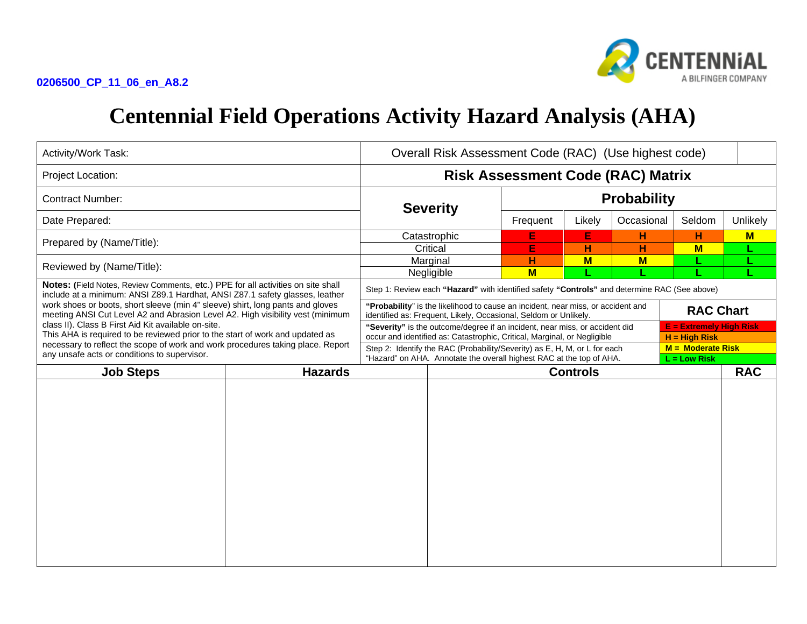

## **Centennial Field Operations Activity Hazard Analysis (AHA)**

| Activity/Work Task:                                                                                                                                                                                                                                                                                                                                                                                                                                                                                                                                                                                             |  | Overall Risk Assessment Code (RAC) (Use highest code)                                                                                                                                      |            |                    |        |            |            |          |  |
|-----------------------------------------------------------------------------------------------------------------------------------------------------------------------------------------------------------------------------------------------------------------------------------------------------------------------------------------------------------------------------------------------------------------------------------------------------------------------------------------------------------------------------------------------------------------------------------------------------------------|--|--------------------------------------------------------------------------------------------------------------------------------------------------------------------------------------------|------------|--------------------|--------|------------|------------|----------|--|
| Project Location:                                                                                                                                                                                                                                                                                                                                                                                                                                                                                                                                                                                               |  | <b>Risk Assessment Code (RAC) Matrix</b>                                                                                                                                                   |            |                    |        |            |            |          |  |
| <b>Contract Number:</b>                                                                                                                                                                                                                                                                                                                                                                                                                                                                                                                                                                                         |  | <b>Severity</b>                                                                                                                                                                            |            | <b>Probability</b> |        |            |            |          |  |
| Date Prepared:                                                                                                                                                                                                                                                                                                                                                                                                                                                                                                                                                                                                  |  |                                                                                                                                                                                            |            | Frequent           | Likely | Occasional | Seldom     | Unlikely |  |
| Prepared by (Name/Title):                                                                                                                                                                                                                                                                                                                                                                                                                                                                                                                                                                                       |  | Catastrophic                                                                                                                                                                               |            | E                  | E      | н          | н          | $M$      |  |
|                                                                                                                                                                                                                                                                                                                                                                                                                                                                                                                                                                                                                 |  | Critical                                                                                                                                                                                   |            | E                  | н      | H          | $M$        | L.       |  |
| Reviewed by (Name/Title):                                                                                                                                                                                                                                                                                                                                                                                                                                                                                                                                                                                       |  | Marginal                                                                                                                                                                                   |            | н                  | $M$    | $M$        |            |          |  |
|                                                                                                                                                                                                                                                                                                                                                                                                                                                                                                                                                                                                                 |  |                                                                                                                                                                                            | Negligible | $M$                |        |            |            |          |  |
| Notes: (Field Notes, Review Comments, etc.) PPE for all activities on site shall<br>include at a minimum: ANSI Z89.1 Hardhat, ANSI Z87.1 safety glasses, leather<br>work shoes or boots, short sleeve (min 4" sleeve) shirt, long pants and gloves<br>meeting ANSI Cut Level A2 and Abrasion Level A2. High visibility vest (minimum<br>class II). Class B First Aid Kit available on-site.<br>This AHA is required to be reviewed prior to the start of work and updated as<br>necessary to reflect the scope of work and work procedures taking place. Report<br>any unsafe acts or conditions to supervisor. |  | Step 1: Review each "Hazard" with identified safety "Controls" and determine RAC (See above)                                                                                               |            |                    |        |            |            |          |  |
|                                                                                                                                                                                                                                                                                                                                                                                                                                                                                                                                                                                                                 |  | "Probability" is the likelihood to cause an incident, near miss, or accident and<br><b>RAC Chart</b><br>identified as: Frequent, Likely, Occasional, Seldom or Unlikely.                   |            |                    |        |            |            |          |  |
|                                                                                                                                                                                                                                                                                                                                                                                                                                                                                                                                                                                                                 |  | <b>E</b> = Extremely High Risk<br>"Severity" is the outcome/degree if an incident, near miss, or accident did                                                                              |            |                    |        |            |            |          |  |
|                                                                                                                                                                                                                                                                                                                                                                                                                                                                                                                                                                                                                 |  | occur and identified as: Catastrophic, Critical, Marginal, or Negligible<br>$H = High Risk$                                                                                                |            |                    |        |            |            |          |  |
|                                                                                                                                                                                                                                                                                                                                                                                                                                                                                                                                                                                                                 |  | $M =$ Moderate Risk<br>Step 2: Identify the RAC (Probability/Severity) as E, H, M, or L for each<br>"Hazard" on AHA. Annotate the overall highest RAC at the top of AHA.<br>$L = Low Risk$ |            |                    |        |            |            |          |  |
| <b>Job Steps</b><br><b>Hazards</b>                                                                                                                                                                                                                                                                                                                                                                                                                                                                                                                                                                              |  | <b>Controls</b>                                                                                                                                                                            |            |                    |        |            | <b>RAC</b> |          |  |
|                                                                                                                                                                                                                                                                                                                                                                                                                                                                                                                                                                                                                 |  |                                                                                                                                                                                            |            |                    |        |            |            |          |  |